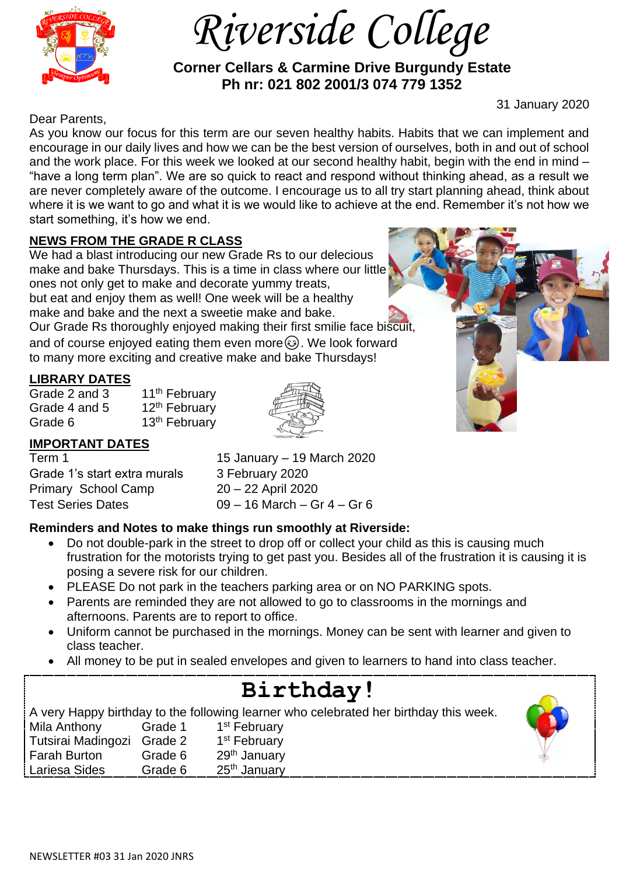

 *Riverside College*

 **Corner Cellars & Carmine Drive Burgundy Estate Ph nr: 021 802 2001/3 074 779 1352**

31 January 2020

Dear Parents,

As you know our focus for this term are our seven healthy habits. Habits that we can implement and encourage in our daily lives and how we can be the best version of ourselves, both in and out of school and the work place. For this week we looked at our second healthy habit, begin with the end in mind – "have a long term plan". We are so quick to react and respond without thinking ahead, as a result we are never completely aware of the outcome. I encourage us to all try start planning ahead, think about where it is we want to go and what it is we would like to achieve at the end. Remember it's not how we start something, it's how we end.

# **NEWS FROM THE GRADE R CLASS**

We had a blast introducing our new Grade Rs to our delecious make and bake Thursdays. This is a time in class where our little ones not only get to make and decorate yummy treats, but eat and enjoy them as well! One week will be a healthy make and bake and the next a sweetie make and bake. Our Grade Rs thoroughly enjoyed making their first smilie face biscuit, and of course enjoyed eating them even more $\circled{e}$ . We look forward to many more exciting and creative make and bake Thursdays!

## **LIBRARY DATES**

Grade 2 and 3 11<sup>th</sup> February Grade 4 and 5  $12<sup>th</sup>$  February Grade 6 13<sup>th</sup> February



# **IMPORTANT DATES**

Grade 1's start extra murals 3 February 2020 Primary School Camp 20 – 22 April 2020 Test Series Dates 09 – 16 March – Gr 4 – Gr 6

Term 1 15 January – 19 March 2020

# **Reminders and Notes to make things run smoothly at Riverside:**

- Do not double-park in the street to drop off or collect your child as this is causing much frustration for the motorists trying to get past you. Besides all of the frustration it is causing it is posing a severe risk for our children.
- PLEASE Do not park in the teachers parking area or on NO PARKING spots.
- Parents are reminded they are not allowed to go to classrooms in the mornings and afternoons. Parents are to report to office.
- Uniform cannot be purchased in the mornings. Money can be sent with learner and given to class teacher.
- All money to be put in sealed envelopes and given to learners to hand into class teacher.

#### **Birthday!** A very Happy birthday to the following learner who celebrated her birthday this week. Mila Anthony Grade 1 1<sup>st</sup> February Tutsirai Madingozi Grade 2 1 1<sup>st</sup> February Farah Burton Grade 6 29th January Lariesa Sides Grade 6